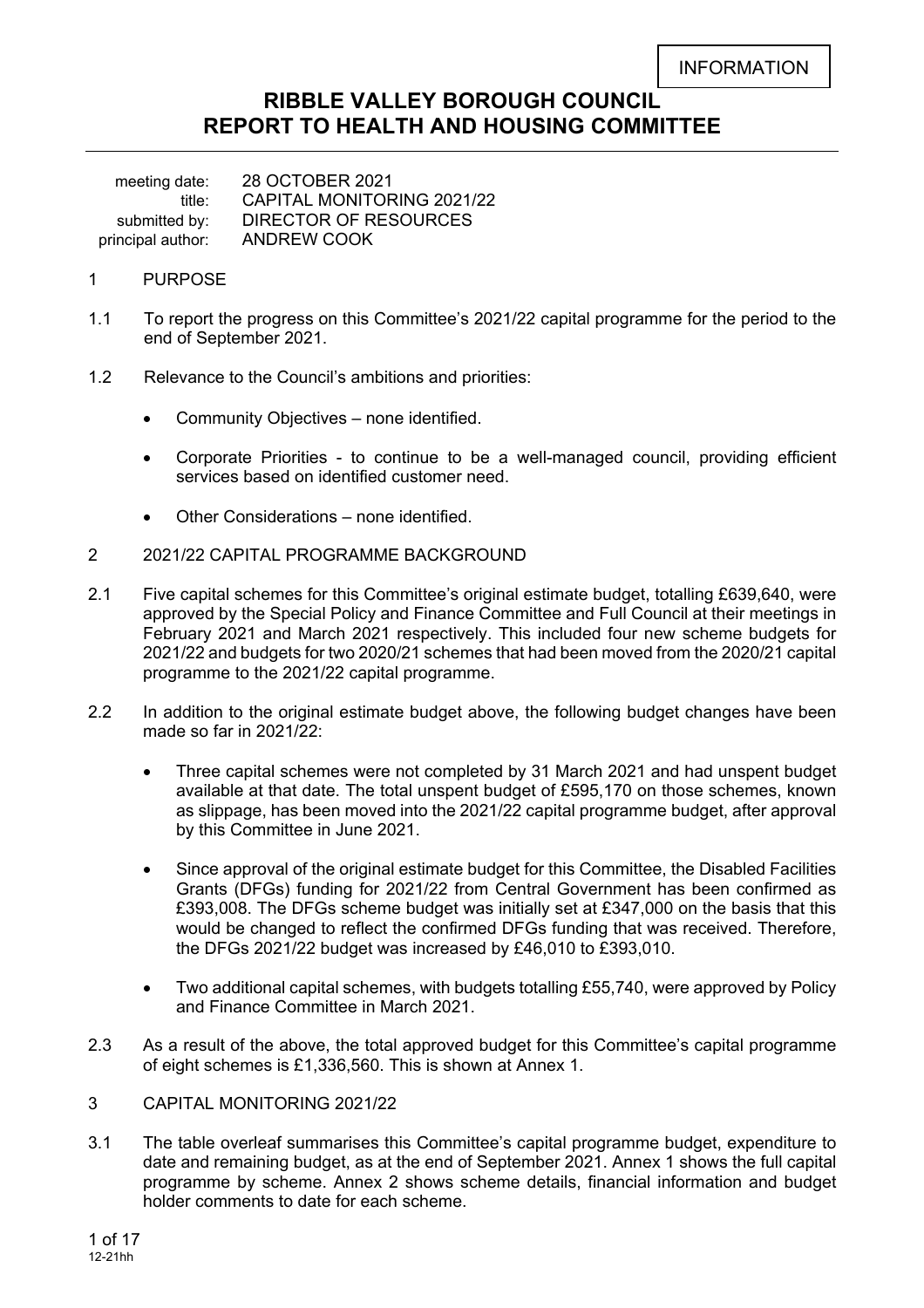# **RIBBLE VALLEY BOROUGH COUNCIL REPORT TO HEALTH AND HOUSING COMMITTEE**

 meeting date: 28 OCTOBER 2021 title: CAPITAL MONITORING 2021/22<br>submitted by: DIRECTOR OF RESOURCES DIRECTOR OF RESOURCES principal author: ANDREW COOK

- 1 PURPOSE
- 1.1 To report the progress on this Committee's 2021/22 capital programme for the period to the end of September 2021.
- 1.2 Relevance to the Council's ambitions and priorities:
	- Community Objectives none identified.
	- Corporate Priorities to continue to be a well-managed council, providing efficient services based on identified customer need.
	- Other Considerations none identified.
- 2 2021/22 CAPITAL PROGRAMME BACKGROUND
- 2.1 Five capital schemes for this Committee's original estimate budget, totalling £639,640, were approved by the Special Policy and Finance Committee and Full Council at their meetings in February 2021 and March 2021 respectively. This included four new scheme budgets for 2021/22 and budgets for two 2020/21 schemes that had been moved from the 2020/21 capital programme to the 2021/22 capital programme.
- 2.2 In addition to the original estimate budget above, the following budget changes have been made so far in 2021/22:
	- Three capital schemes were not completed by 31 March 2021 and had unspent budget available at that date. The total unspent budget of £595,170 on those schemes, known as slippage, has been moved into the 2021/22 capital programme budget, after approval by this Committee in June 2021.
	- Since approval of the original estimate budget for this Committee, the Disabled Facilities Grants (DFGs) funding for 2021/22 from Central Government has been confirmed as £393,008. The DFGs scheme budget was initially set at £347,000 on the basis that this would be changed to reflect the confirmed DFGs funding that was received. Therefore, the DFGs 2021/22 budget was increased by £46,010 to £393,010.
	- Two additional capital schemes, with budgets totalling £55,740, were approved by Policy and Finance Committee in March 2021.
- 2.3 As a result of the above, the total approved budget for this Committee's capital programme of eight schemes is £1,336,560. This is shown at Annex 1.
- 3 CAPITAL MONITORING 2021/22
- 3.1 The table overleaf summarises this Committee's capital programme budget, expenditure to date and remaining budget, as at the end of September 2021. Annex 1 shows the full capital programme by scheme. Annex 2 shows scheme details, financial information and budget holder comments to date for each scheme.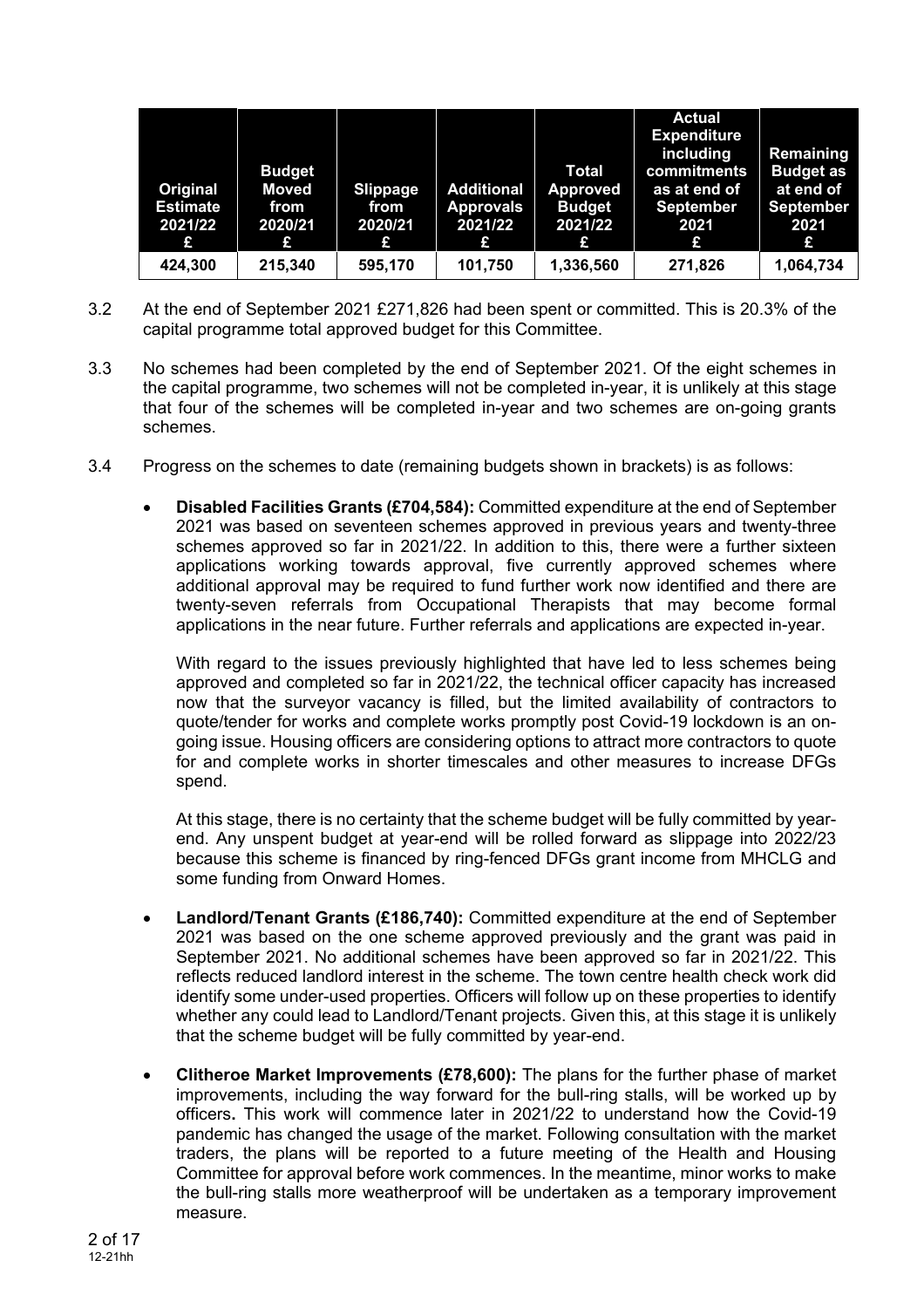| Original<br><b>Estimate</b><br>2021/22<br>£ | <b>Budget</b><br><b>Moved</b><br>from<br>2020/21<br>£ | <b>Slippage</b><br>from<br>2020/21<br>£ | <b>Additional</b><br><b>Approvals</b><br>2021/22<br>£ | <b>Total</b><br><b>Approved</b><br><b>Budget</b><br>2021/22<br>£ | <b>Actual</b><br><b>Expenditure</b><br>including<br>commitments<br>as at end of<br><b>September</b><br>2021<br>£ | <b>Remaining</b><br><b>Budget as</b><br>at end of<br><b>September</b><br>2021<br>£ |
|---------------------------------------------|-------------------------------------------------------|-----------------------------------------|-------------------------------------------------------|------------------------------------------------------------------|------------------------------------------------------------------------------------------------------------------|------------------------------------------------------------------------------------|
| 424,300                                     | 215,340                                               | 595,170                                 | 101,750                                               | 1,336,560                                                        | 271,826                                                                                                          | 1,064,734                                                                          |

- 3.2 At the end of September 2021 £271,826 had been spent or committed. This is 20.3% of the capital programme total approved budget for this Committee.
- 3.3 No schemes had been completed by the end of September 2021. Of the eight schemes in the capital programme, two schemes will not be completed in-year, it is unlikely at this stage that four of the schemes will be completed in-year and two schemes are on-going grants schemes.
- 3.4 Progress on the schemes to date (remaining budgets shown in brackets) is as follows:
	- **Disabled Facilities Grants (£704,584):** Committed expenditure at the end of September 2021 was based on seventeen schemes approved in previous years and twenty-three schemes approved so far in 2021/22. In addition to this, there were a further sixteen applications working towards approval, five currently approved schemes where additional approval may be required to fund further work now identified and there are twenty-seven referrals from Occupational Therapists that may become formal applications in the near future. Further referrals and applications are expected in-year.

With regard to the issues previously highlighted that have led to less schemes being approved and completed so far in 2021/22, the technical officer capacity has increased now that the surveyor vacancy is filled, but the limited availability of contractors to quote/tender for works and complete works promptly post Covid-19 lockdown is an ongoing issue. Housing officers are considering options to attract more contractors to quote for and complete works in shorter timescales and other measures to increase DFGs spend.

At this stage, there is no certainty that the scheme budget will be fully committed by yearend. Any unspent budget at year-end will be rolled forward as slippage into 2022/23 because this scheme is financed by ring-fenced DFGs grant income from MHCLG and some funding from Onward Homes.

- **Landlord/Tenant Grants (£186,740):** Committed expenditure at the end of September 2021 was based on the one scheme approved previously and the grant was paid in September 2021. No additional schemes have been approved so far in 2021/22. This reflects reduced landlord interest in the scheme. The town centre health check work did identify some under-used properties. Officers will follow up on these properties to identify whether any could lead to Landlord/Tenant projects. Given this, at this stage it is unlikely that the scheme budget will be fully committed by year-end.
- **Clitheroe Market Improvements (£78,600):** The plans for the further phase of market improvements, including the way forward for the bull-ring stalls, will be worked up by officers**.** This work will commence later in 2021/22 to understand how the Covid-19 pandemic has changed the usage of the market. Following consultation with the market traders, the plans will be reported to a future meeting of the Health and Housing Committee for approval before work commences. In the meantime, minor works to make the bull-ring stalls more weatherproof will be undertaken as a temporary improvement measure.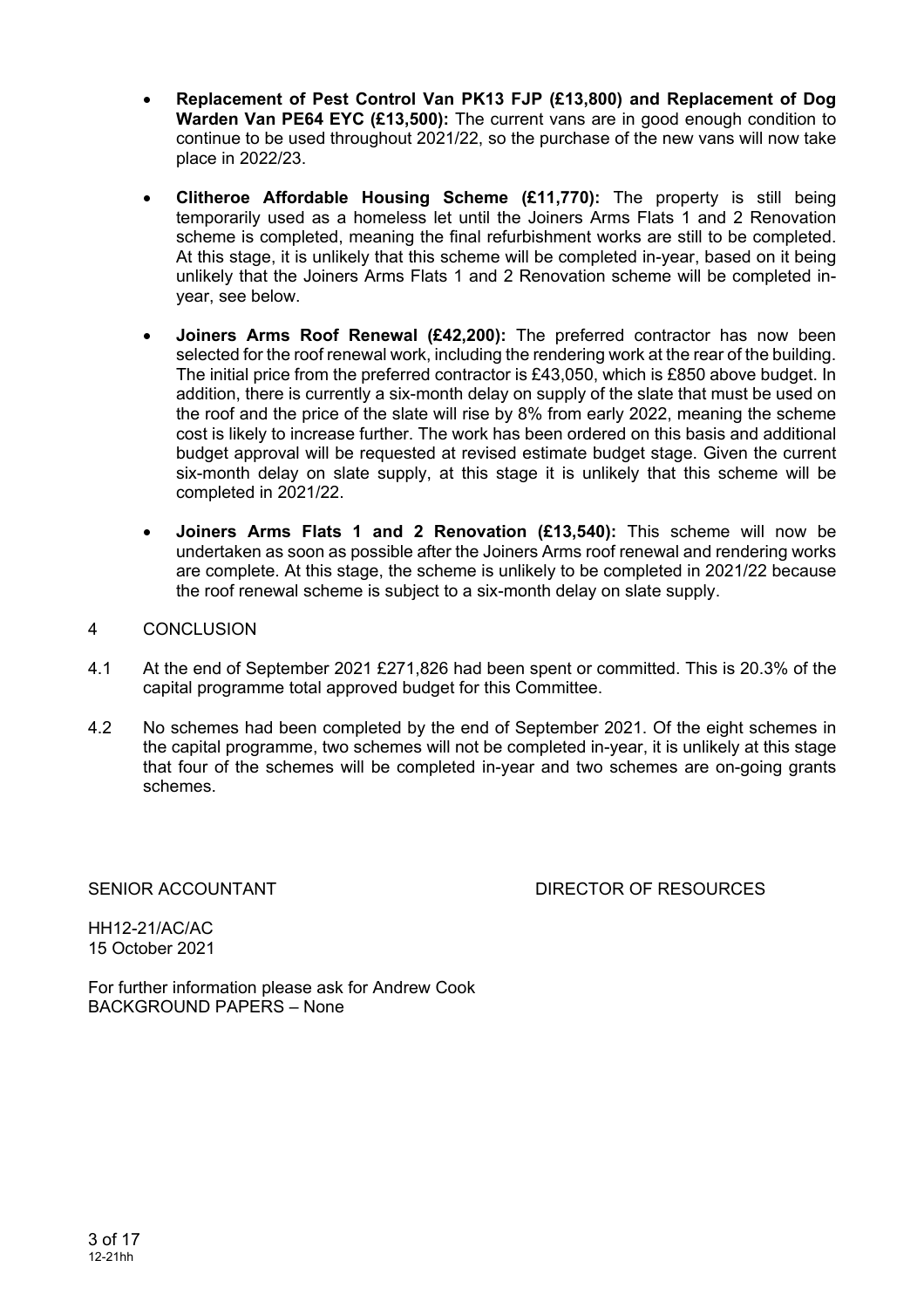- **Replacement of Pest Control Van PK13 FJP (£13,800) and Replacement of Dog Warden Van PE64 EYC (£13,500):** The current vans are in good enough condition to continue to be used throughout 2021/22, so the purchase of the new vans will now take place in 2022/23.
- **Clitheroe Affordable Housing Scheme (£11,770):** The property is still being temporarily used as a homeless let until the Joiners Arms Flats 1 and 2 Renovation scheme is completed, meaning the final refurbishment works are still to be completed. At this stage, it is unlikely that this scheme will be completed in-year, based on it being unlikely that the Joiners Arms Flats 1 and 2 Renovation scheme will be completed inyear, see below.
- **Joiners Arms Roof Renewal (£42,200):** The preferred contractor has now been selected for the roof renewal work, including the rendering work at the rear of the building. The initial price from the preferred contractor is £43,050, which is £850 above budget. In addition, there is currently a six-month delay on supply of the slate that must be used on the roof and the price of the slate will rise by 8% from early 2022, meaning the scheme cost is likely to increase further. The work has been ordered on this basis and additional budget approval will be requested at revised estimate budget stage. Given the current six-month delay on slate supply, at this stage it is unlikely that this scheme will be completed in 2021/22.
- **Joiners Arms Flats 1 and 2 Renovation (£13,540):** This scheme will now be undertaken as soon as possible after the Joiners Arms roof renewal and rendering works are complete. At this stage, the scheme is unlikely to be completed in 2021/22 because the roof renewal scheme is subject to a six-month delay on slate supply.

# 4 CONCLUSION

- 4.1 At the end of September 2021 £271,826 had been spent or committed. This is 20.3% of the capital programme total approved budget for this Committee.
- 4.2 No schemes had been completed by the end of September 2021. Of the eight schemes in the capital programme, two schemes will not be completed in-year, it is unlikely at this stage that four of the schemes will be completed in-year and two schemes are on-going grants schemes.

# SENIOR ACCOUNTANT **EXECUTE:** DIRECTOR OF RESOURCES

HH12-21/AC/AC 15 October 2021

For further information please ask for Andrew Cook BACKGROUND PAPERS – None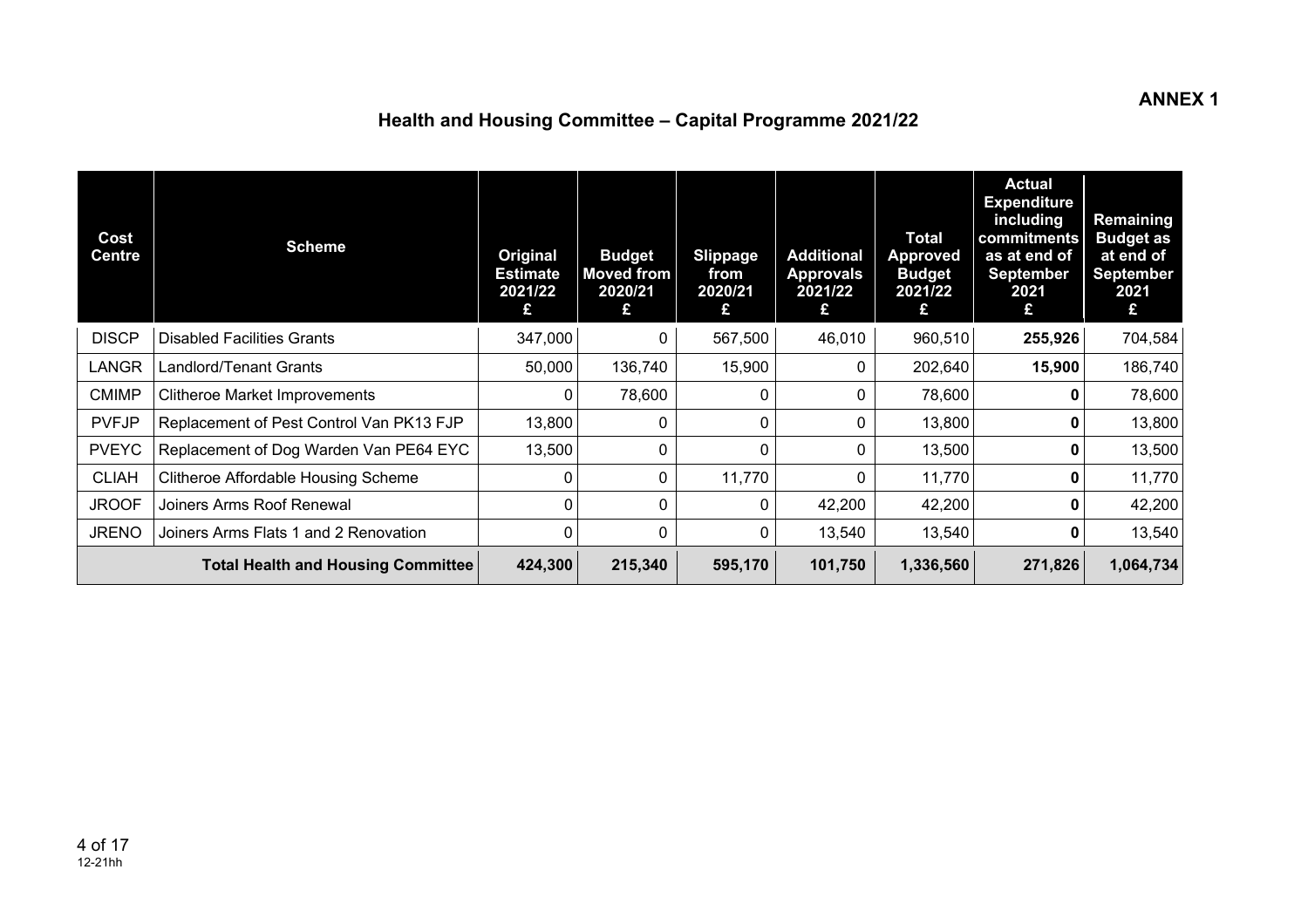# **Health and Housing Committee – Capital Programme 2021/22**

| Cost<br><b>Centre</b> | <b>Scheme</b>                              | Original<br><b>Estimate</b><br>2021/22<br>£ | <b>Budget</b><br><b>Moved from</b><br>2020/21<br>£ | <b>Slippage</b><br>from<br>2020/21<br>£ | <b>Additional</b><br><b>Approvals</b><br>2021/22<br>£ | <b>Total</b><br><b>Approved</b><br><b>Budget</b><br>2021/22<br>£ | <b>Actual</b><br><b>Expenditure</b><br>including<br>commitments<br>as at end of<br><b>September</b><br>2021<br>£ | Remaining<br><b>Budget as</b><br>at end of<br><b>September</b><br>2021<br>£ |
|-----------------------|--------------------------------------------|---------------------------------------------|----------------------------------------------------|-----------------------------------------|-------------------------------------------------------|------------------------------------------------------------------|------------------------------------------------------------------------------------------------------------------|-----------------------------------------------------------------------------|
| <b>DISCP</b>          | <b>Disabled Facilities Grants</b>          | 347,000                                     | $\mathbf{0}$                                       | 567,500                                 | 46,010                                                | 960,510                                                          | 255,926                                                                                                          | 704,584                                                                     |
| <b>LANGR</b>          | Landlord/Tenant Grants                     | 50,000                                      | 136,740                                            | 15,900                                  |                                                       | 202,640                                                          | 15,900                                                                                                           | 186,740                                                                     |
| <b>CMIMP</b>          | <b>Clitheroe Market Improvements</b>       | 0                                           | 78,600                                             | $\mathbf{0}$                            | $\Omega$                                              | 78,600                                                           | 0                                                                                                                | 78,600                                                                      |
| <b>PVFJP</b>          | Replacement of Pest Control Van PK13 FJP   | 13,800                                      | 0                                                  | 0                                       | 0                                                     | 13,800                                                           | 0                                                                                                                | 13,800                                                                      |
| <b>PVEYC</b>          | Replacement of Dog Warden Van PE64 EYC     | 13,500                                      | $\Omega$                                           | $\Omega$                                | $\Omega$                                              | 13,500                                                           | 0                                                                                                                | 13,500                                                                      |
| <b>CLIAH</b>          | <b>Clitheroe Affordable Housing Scheme</b> | 0                                           | 0                                                  | 11,770                                  | $\Omega$                                              | 11,770                                                           | 0                                                                                                                | 11,770                                                                      |
| <b>JROOF</b>          | Joiners Arms Roof Renewal                  | 0                                           | $\Omega$                                           | $\mathbf{0}$                            | 42,200                                                | 42,200                                                           | 0                                                                                                                | 42,200                                                                      |
| <b>JRENO</b>          | Joiners Arms Flats 1 and 2 Renovation      | 0                                           | 0                                                  | 0                                       | 13,540                                                | 13,540                                                           |                                                                                                                  | 13,540                                                                      |
|                       | <b>Total Health and Housing Committee</b>  | 424,300                                     | 215,340                                            | 595,170                                 | 101,750                                               | 1,336,560                                                        | 271,826                                                                                                          | 1,064,734                                                                   |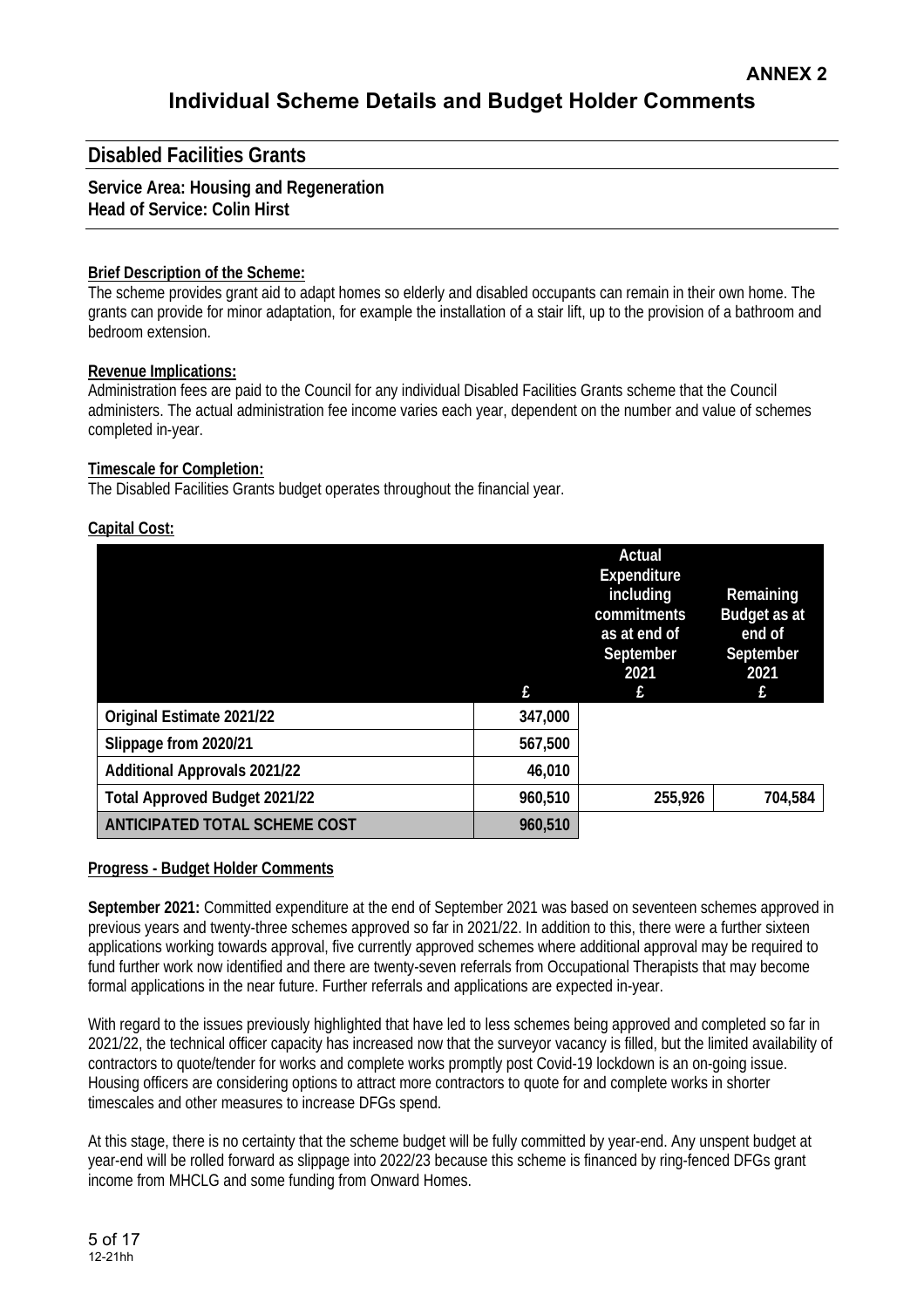# **Disabled Facilities Grants**

#### **Service Area: Housing and Regeneration Head of Service: Colin Hirst**

#### **Brief Description of the Scheme:**

The scheme provides grant aid to adapt homes so elderly and disabled occupants can remain in their own home. The grants can provide for minor adaptation, for example the installation of a stair lift, up to the provision of a bathroom and bedroom extension.

#### **Revenue Implications:**

Administration fees are paid to the Council for any individual Disabled Facilities Grants scheme that the Council administers. The actual administration fee income varies each year, dependent on the number and value of schemes completed in-year.

# **Timescale for Completion:**

The Disabled Facilities Grants budget operates throughout the financial year.

# **Capital Cost:**

|                                      | £       | <b>Actual</b><br><b>Expenditure</b><br>including<br>commitments<br>as at end of<br>September<br>2021<br>£ | Remaining<br>Budget as at<br>end of<br>September<br>2021<br>£ |
|--------------------------------------|---------|-----------------------------------------------------------------------------------------------------------|---------------------------------------------------------------|
| Original Estimate 2021/22            | 347,000 |                                                                                                           |                                                               |
| Slippage from 2020/21                | 567,500 |                                                                                                           |                                                               |
| <b>Additional Approvals 2021/22</b>  | 46,010  |                                                                                                           |                                                               |
| <b>Total Approved Budget 2021/22</b> | 960,510 | 255,926                                                                                                   | 704,584                                                       |
| ANTICIPATED TOTAL SCHEME COST        | 960,510 |                                                                                                           |                                                               |

# **Progress - Budget Holder Comments**

**September 2021:** Committed expenditure at the end of September 2021 was based on seventeen schemes approved in previous years and twenty-three schemes approved so far in 2021/22. In addition to this, there were a further sixteen applications working towards approval, five currently approved schemes where additional approval may be required to fund further work now identified and there are twenty-seven referrals from Occupational Therapists that may become formal applications in the near future. Further referrals and applications are expected in-year.

With regard to the issues previously highlighted that have led to less schemes being approved and completed so far in 2021/22, the technical officer capacity has increased now that the surveyor vacancy is filled, but the limited availability of contractors to quote/tender for works and complete works promptly post Covid-19 lockdown is an on-going issue. Housing officers are considering options to attract more contractors to quote for and complete works in shorter timescales and other measures to increase DFGs spend.

At this stage, there is no certainty that the scheme budget will be fully committed by year-end. Any unspent budget at year-end will be rolled forward as slippage into 2022/23 because this scheme is financed by ring-fenced DFGs grant income from MHCLG and some funding from Onward Homes.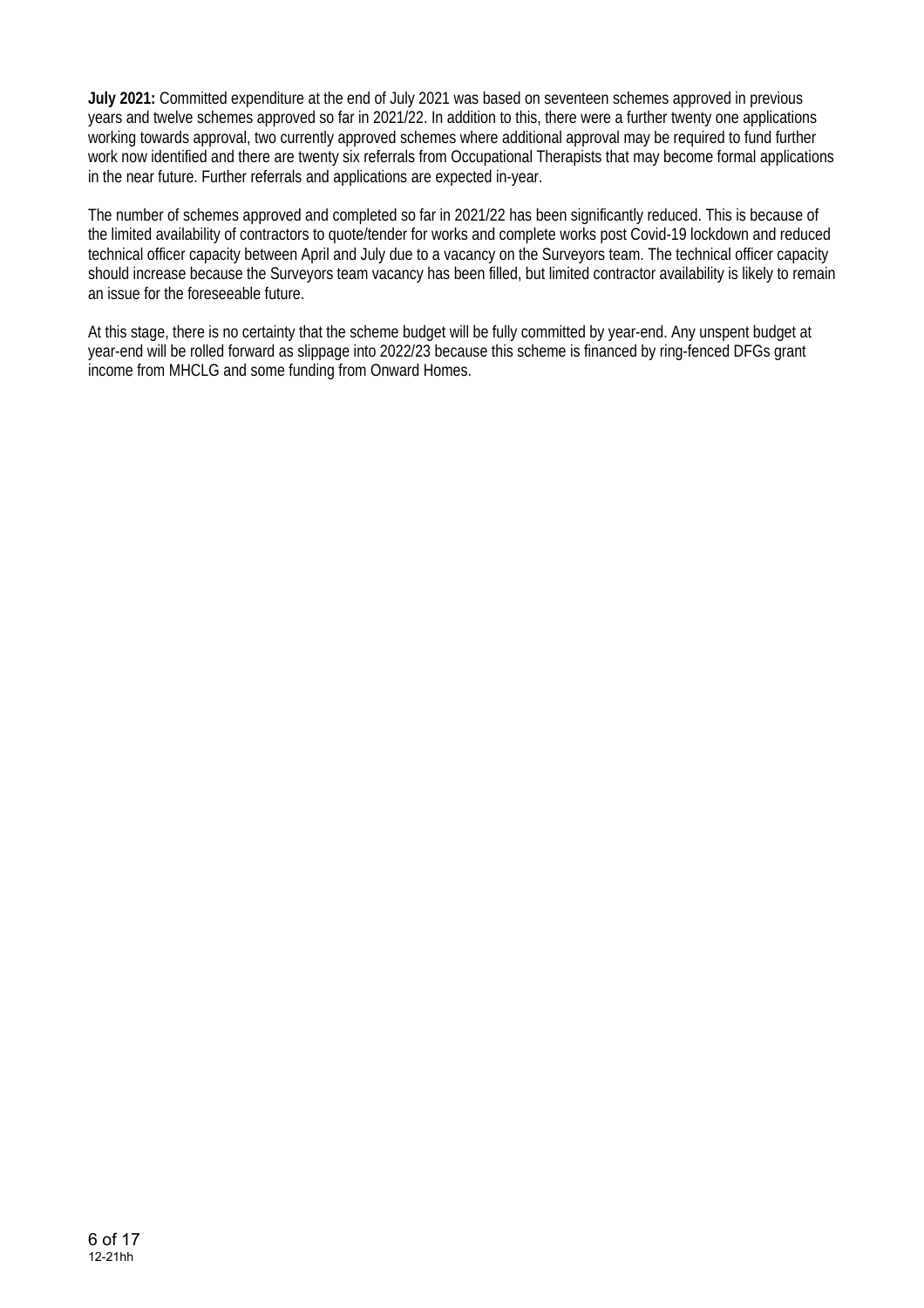**July 2021:** Committed expenditure at the end of July 2021 was based on seventeen schemes approved in previous years and twelve schemes approved so far in 2021/22. In addition to this, there were a further twenty one applications working towards approval, two currently approved schemes where additional approval may be required to fund further work now identified and there are twenty six referrals from Occupational Therapists that may become formal applications in the near future. Further referrals and applications are expected in-year.

The number of schemes approved and completed so far in 2021/22 has been significantly reduced. This is because of the limited availability of contractors to quote/tender for works and complete works post Covid-19 lockdown and reduced technical officer capacity between April and July due to a vacancy on the Surveyors team. The technical officer capacity should increase because the Surveyors team vacancy has been filled, but limited contractor availability is likely to remain an issue for the foreseeable future.

At this stage, there is no certainty that the scheme budget will be fully committed by year-end. Any unspent budget at year-end will be rolled forward as slippage into 2022/23 because this scheme is financed by ring-fenced DFGs grant income from MHCLG and some funding from Onward Homes.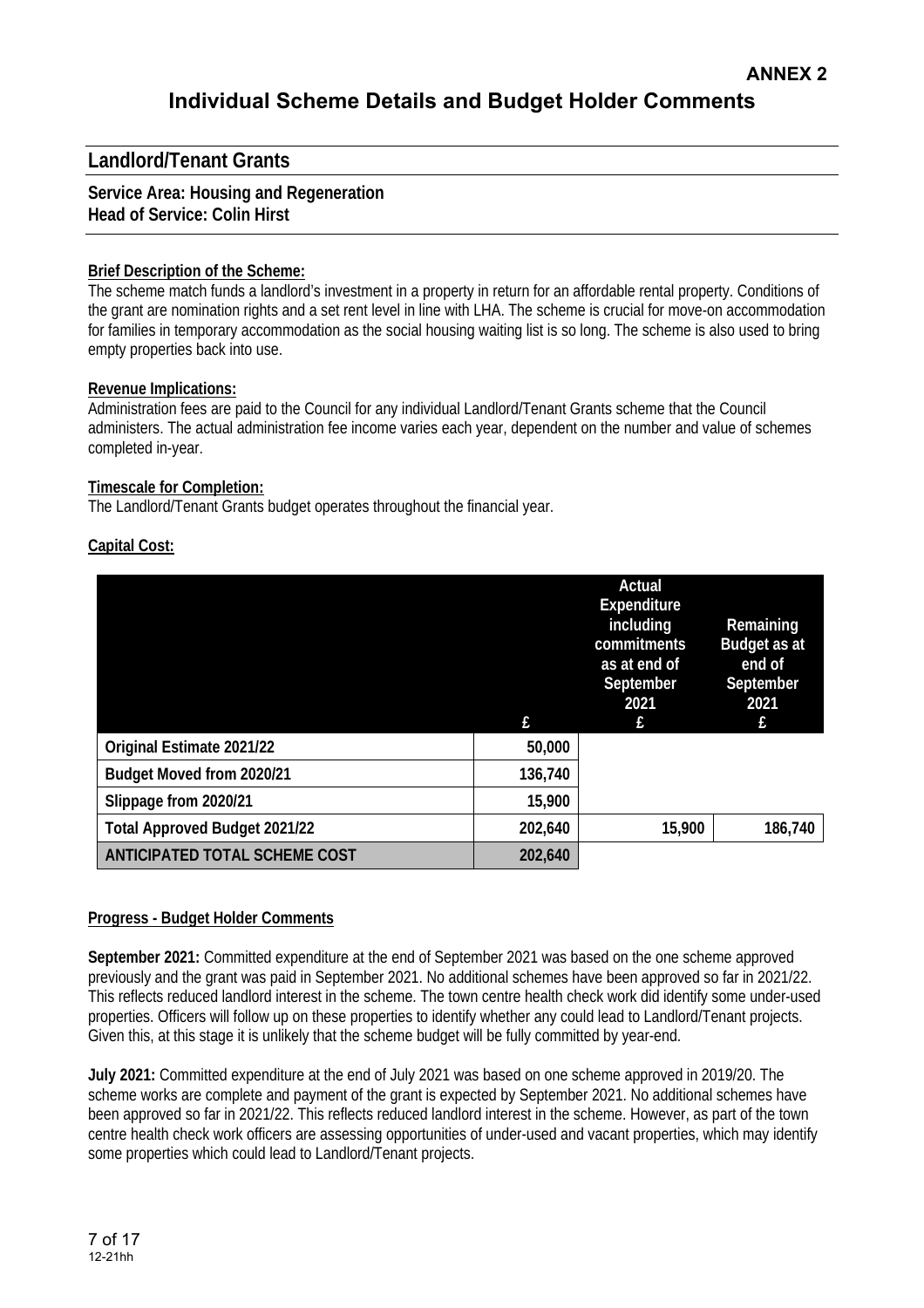# **Landlord/Tenant Grants**

# **Service Area: Housing and Regeneration Head of Service: Colin Hirst**

# **Brief Description of the Scheme:**

The scheme match funds a landlord's investment in a property in return for an affordable rental property. Conditions of the grant are nomination rights and a set rent level in line with LHA. The scheme is crucial for move-on accommodation for families in temporary accommodation as the social housing waiting list is so long. The scheme is also used to bring empty properties back into use.

#### **Revenue Implications:**

Administration fees are paid to the Council for any individual Landlord/Tenant Grants scheme that the Council administers. The actual administration fee income varies each year, dependent on the number and value of schemes completed in-year.

#### **Timescale for Completion:**

The Landlord/Tenant Grants budget operates throughout the financial year.

#### **Capital Cost:**

|                                      | f       | <b>Actual</b><br><b>Expenditure</b><br>including<br>commitments<br>as at end of<br>September<br>2021<br>£. | Remaining<br>Budget as at<br>end of<br>September<br>2021<br>£ |
|--------------------------------------|---------|------------------------------------------------------------------------------------------------------------|---------------------------------------------------------------|
| Original Estimate 2021/22            | 50,000  |                                                                                                            |                                                               |
| Budget Moved from 2020/21            | 136,740 |                                                                                                            |                                                               |
| Slippage from 2020/21                | 15,900  |                                                                                                            |                                                               |
| <b>Total Approved Budget 2021/22</b> | 202,640 | 15,900                                                                                                     | 186,740                                                       |
| <b>ANTICIPATED TOTAL SCHEME COST</b> | 202,640 |                                                                                                            |                                                               |

# **Progress - Budget Holder Comments**

**September 2021:** Committed expenditure at the end of September 2021 was based on the one scheme approved previously and the grant was paid in September 2021. No additional schemes have been approved so far in 2021/22. This reflects reduced landlord interest in the scheme. The town centre health check work did identify some under-used properties. Officers will follow up on these properties to identify whether any could lead to Landlord/Tenant projects. Given this, at this stage it is unlikely that the scheme budget will be fully committed by year-end.

**July 2021:** Committed expenditure at the end of July 2021 was based on one scheme approved in 2019/20. The scheme works are complete and payment of the grant is expected by September 2021. No additional schemes have been approved so far in 2021/22. This reflects reduced landlord interest in the scheme. However, as part of the town centre health check work officers are assessing opportunities of under-used and vacant properties, which may identify some properties which could lead to Landlord/Tenant projects.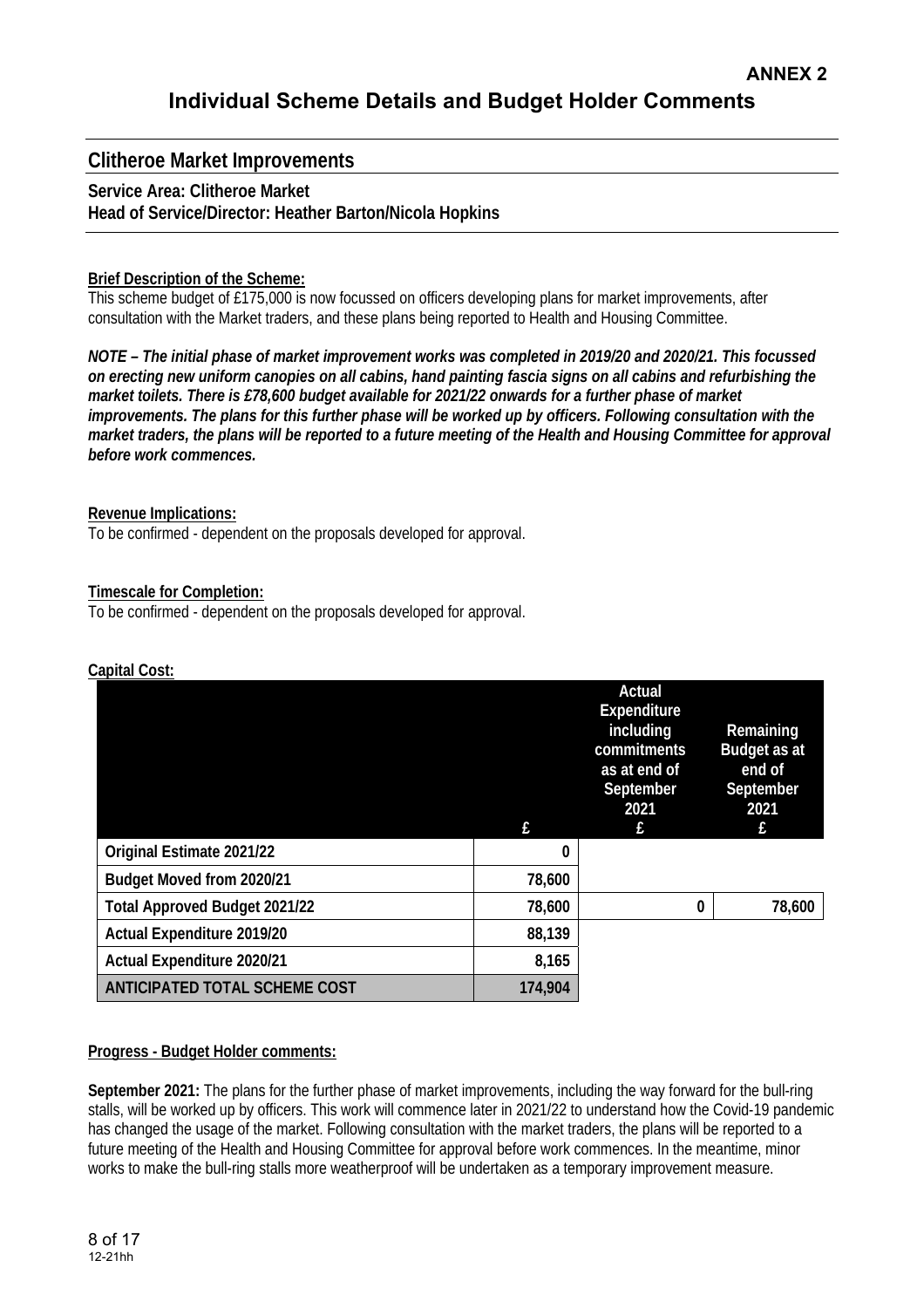# **Clitheroe Market Improvements**

### **Service Area: Clitheroe Market Head of Service/Director: Heather Barton/Nicola Hopkins**

#### **Brief Description of the Scheme:**

This scheme budget of £175,000 is now focussed on officers developing plans for market improvements, after consultation with the Market traders, and these plans being reported to Health and Housing Committee.

*NOTE – The initial phase of market improvement works was completed in 2019/20 and 2020/21. This focussed on erecting new uniform canopies on all cabins, hand painting fascia signs on all cabins and refurbishing the market toilets. There is £78,600 budget available for 2021/22 onwards for a further phase of market improvements. The plans for this further phase will be worked up by officers. Following consultation with the market traders, the plans will be reported to a future meeting of the Health and Housing Committee for approval before work commences.* 

#### **Revenue Implications:**

To be confirmed - dependent on the proposals developed for approval.

#### **Timescale for Completion:**

To be confirmed - dependent on the proposals developed for approval.

| σαρπαι συστ.                         | f       | <b>Actual</b><br>Expenditure<br>including<br>commitments<br>as at end of<br>September<br>2021<br>£ | Remaining<br>Budget as at<br>end of<br>September<br>2021<br>£ |
|--------------------------------------|---------|----------------------------------------------------------------------------------------------------|---------------------------------------------------------------|
| Original Estimate 2021/22            | 0       |                                                                                                    |                                                               |
| Budget Moved from 2020/21            | 78,600  |                                                                                                    |                                                               |
| <b>Total Approved Budget 2021/22</b> | 78,600  | 0                                                                                                  | 78,600                                                        |
| Actual Expenditure 2019/20           | 88,139  |                                                                                                    |                                                               |
| Actual Expenditure 2020/21           | 8,165   |                                                                                                    |                                                               |
| <b>ANTICIPATED TOTAL SCHEME COST</b> | 174,904 |                                                                                                    |                                                               |

# **Capital Cost:**

#### **Progress - Budget Holder comments:**

**September 2021:** The plans for the further phase of market improvements, including the way forward for the bull-ring stalls, will be worked up by officers. This work will commence later in 2021/22 to understand how the Covid-19 pandemic has changed the usage of the market. Following consultation with the market traders, the plans will be reported to a future meeting of the Health and Housing Committee for approval before work commences. In the meantime, minor works to make the bull-ring stalls more weatherproof will be undertaken as a temporary improvement measure.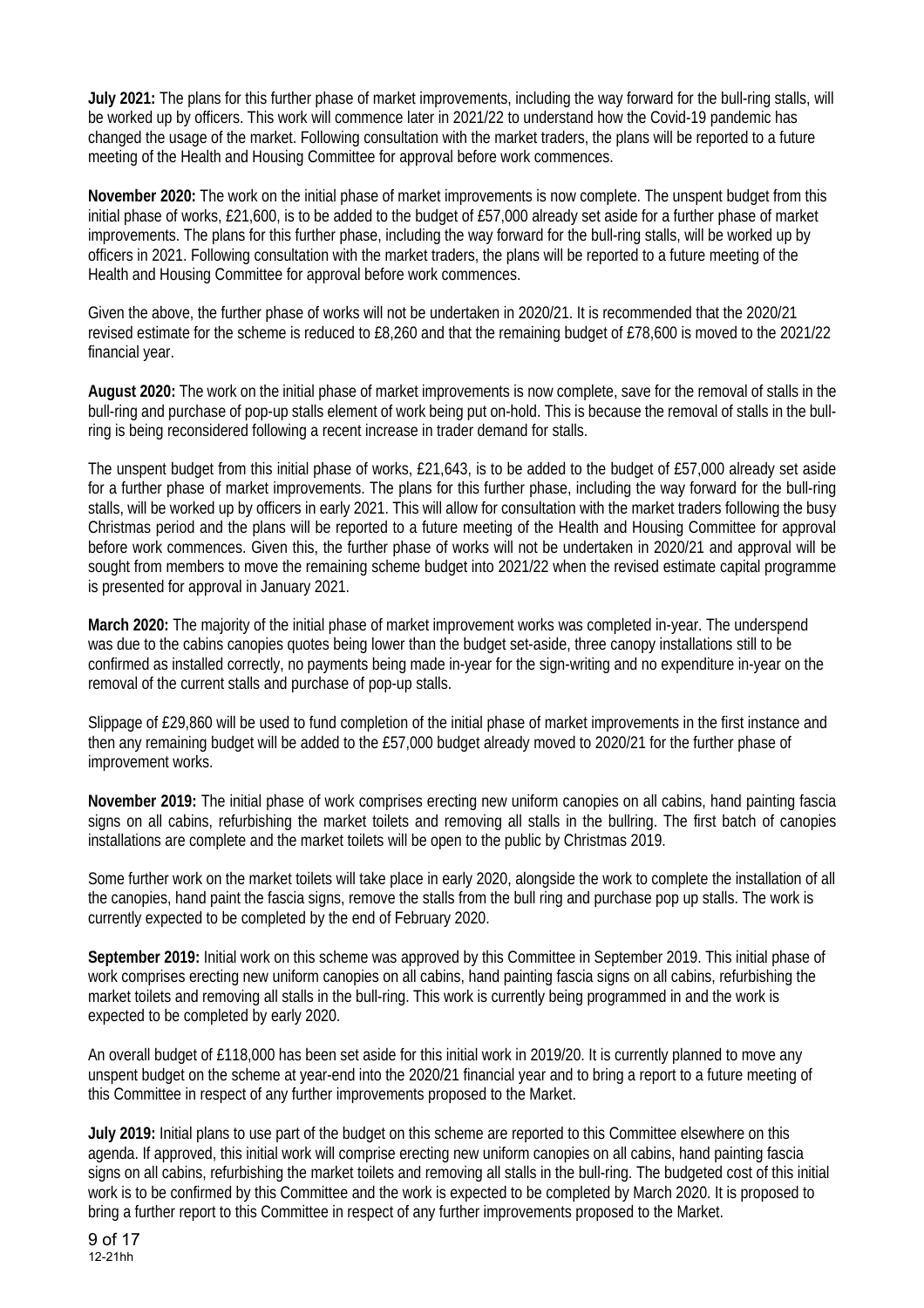**July 2021:** The plans for this further phase of market improvements, including the way forward for the bull-ring stalls, will be worked up by officers. This work will commence later in 2021/22 to understand how the Covid-19 pandemic has changed the usage of the market. Following consultation with the market traders, the plans will be reported to a future meeting of the Health and Housing Committee for approval before work commences.

**November 2020:** The work on the initial phase of market improvements is now complete. The unspent budget from this initial phase of works, £21,600, is to be added to the budget of £57,000 already set aside for a further phase of market improvements. The plans for this further phase, including the way forward for the bull-ring stalls, will be worked up by officers in 2021. Following consultation with the market traders, the plans will be reported to a future meeting of the Health and Housing Committee for approval before work commences.

Given the above, the further phase of works will not be undertaken in 2020/21. It is recommended that the 2020/21 revised estimate for the scheme is reduced to £8,260 and that the remaining budget of £78,600 is moved to the 2021/22 financial year.

**August 2020:** The work on the initial phase of market improvements is now complete, save for the removal of stalls in the bull-ring and purchase of pop-up stalls element of work being put on-hold. This is because the removal of stalls in the bullring is being reconsidered following a recent increase in trader demand for stalls.

The unspent budget from this initial phase of works, £21,643, is to be added to the budget of £57,000 already set aside for a further phase of market improvements. The plans for this further phase, including the way forward for the bull-ring stalls, will be worked up by officers in early 2021. This will allow for consultation with the market traders following the busy Christmas period and the plans will be reported to a future meeting of the Health and Housing Committee for approval before work commences. Given this, the further phase of works will not be undertaken in 2020/21 and approval will be sought from members to move the remaining scheme budget into 2021/22 when the revised estimate capital programme is presented for approval in January 2021.

**March 2020:** The majority of the initial phase of market improvement works was completed in-year. The underspend was due to the cabins canopies quotes being lower than the budget set-aside, three canopy installations still to be confirmed as installed correctly, no payments being made in-year for the sign-writing and no expenditure in-year on the removal of the current stalls and purchase of pop-up stalls.

Slippage of £29,860 will be used to fund completion of the initial phase of market improvements in the first instance and then any remaining budget will be added to the £57,000 budget already moved to 2020/21 for the further phase of improvement works.

**November 2019:** The initial phase of work comprises erecting new uniform canopies on all cabins, hand painting fascia signs on all cabins, refurbishing the market toilets and removing all stalls in the bullring. The first batch of canopies installations are complete and the market toilets will be open to the public by Christmas 2019.

Some further work on the market toilets will take place in early 2020, alongside the work to complete the installation of all the canopies, hand paint the fascia signs, remove the stalls from the bull ring and purchase pop up stalls. The work is currently expected to be completed by the end of February 2020.

**September 2019:** Initial work on this scheme was approved by this Committee in September 2019. This initial phase of work comprises erecting new uniform canopies on all cabins, hand painting fascia signs on all cabins, refurbishing the market toilets and removing all stalls in the bull-ring. This work is currently being programmed in and the work is expected to be completed by early 2020.

An overall budget of £118,000 has been set aside for this initial work in 2019/20. It is currently planned to move any unspent budget on the scheme at year-end into the 2020/21 financial year and to bring a report to a future meeting of this Committee in respect of any further improvements proposed to the Market.

**July 2019:** Initial plans to use part of the budget on this scheme are reported to this Committee elsewhere on this agenda. If approved, this initial work will comprise erecting new uniform canopies on all cabins, hand painting fascia signs on all cabins, refurbishing the market toilets and removing all stalls in the bull-ring. The budgeted cost of this initial work is to be confirmed by this Committee and the work is expected to be completed by March 2020. It is proposed to bring a further report to this Committee in respect of any further improvements proposed to the Market.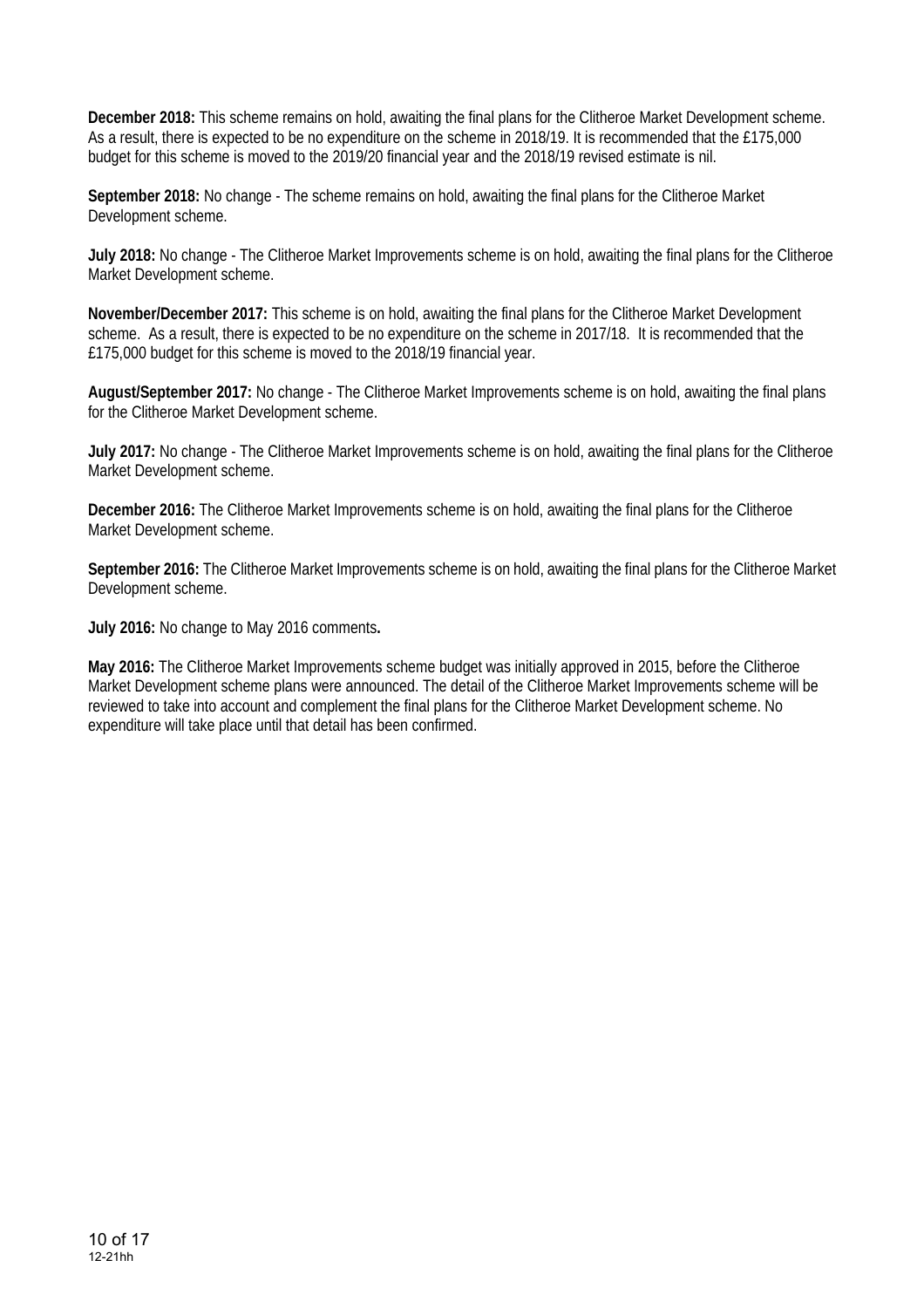**December 2018:** This scheme remains on hold, awaiting the final plans for the Clitheroe Market Development scheme. As a result, there is expected to be no expenditure on the scheme in 2018/19. It is recommended that the £175,000 budget for this scheme is moved to the 2019/20 financial year and the 2018/19 revised estimate is nil.

**September 2018:** No change - The scheme remains on hold, awaiting the final plans for the Clitheroe Market Development scheme.

**July 2018:** No change - The Clitheroe Market Improvements scheme is on hold, awaiting the final plans for the Clitheroe Market Development scheme.

**November/December 2017:** This scheme is on hold, awaiting the final plans for the Clitheroe Market Development scheme. As a result, there is expected to be no expenditure on the scheme in 2017/18. It is recommended that the £175,000 budget for this scheme is moved to the 2018/19 financial year.

**August/September 2017:** No change - The Clitheroe Market Improvements scheme is on hold, awaiting the final plans for the Clitheroe Market Development scheme.

**July 2017:** No change - The Clitheroe Market Improvements scheme is on hold, awaiting the final plans for the Clitheroe Market Development scheme.

**December 2016:** The Clitheroe Market Improvements scheme is on hold, awaiting the final plans for the Clitheroe Market Development scheme.

**September 2016:** The Clitheroe Market Improvements scheme is on hold, awaiting the final plans for the Clitheroe Market Development scheme.

**July 2016:** No change to May 2016 comments**.** 

**May 2016:** The Clitheroe Market Improvements scheme budget was initially approved in 2015, before the Clitheroe Market Development scheme plans were announced. The detail of the Clitheroe Market Improvements scheme will be reviewed to take into account and complement the final plans for the Clitheroe Market Development scheme. No expenditure will take place until that detail has been confirmed.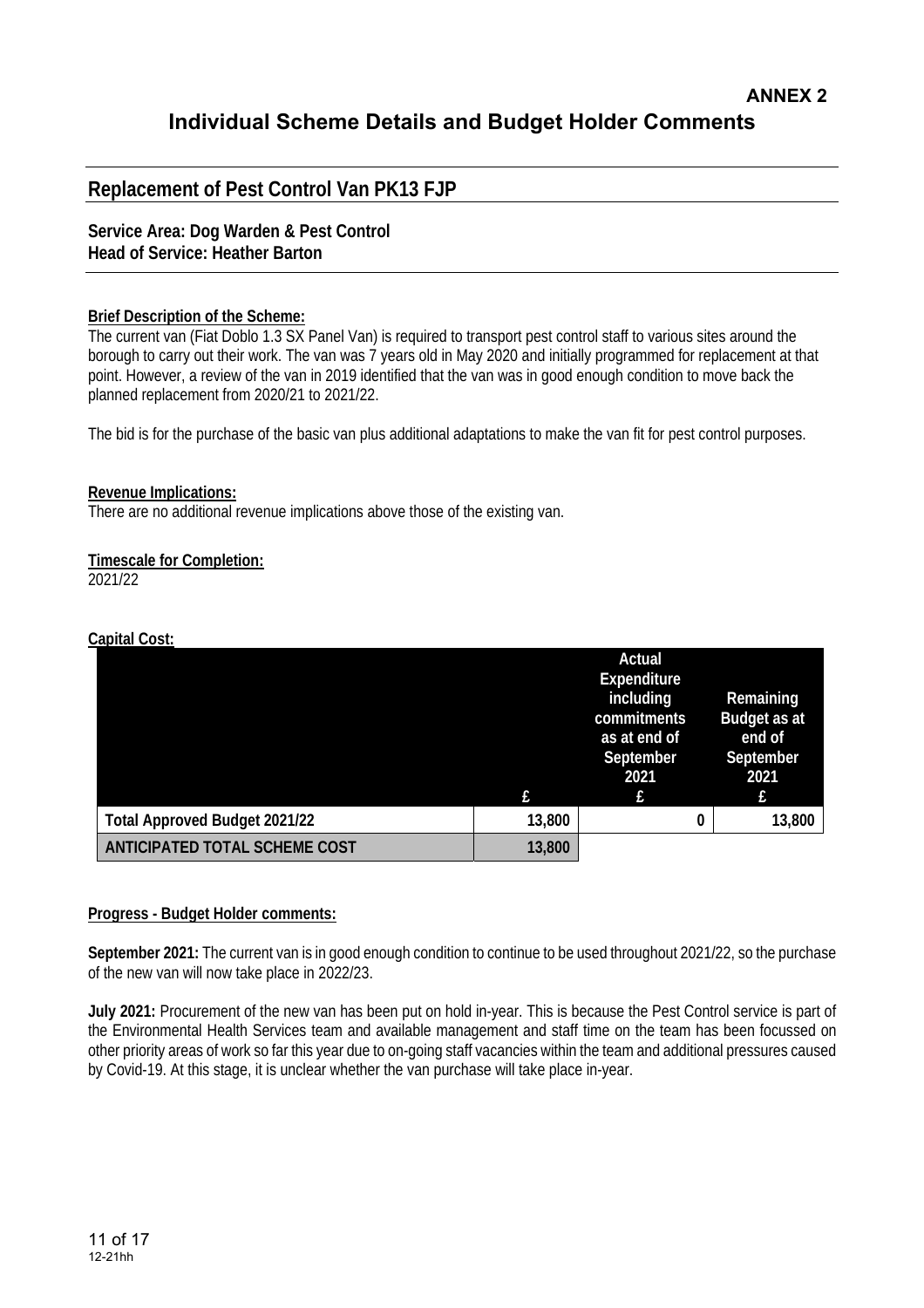# **Replacement of Pest Control Van PK13 FJP**

**Service Area: Dog Warden & Pest Control Head of Service: Heather Barton** 

#### **Brief Description of the Scheme:**

The current van (Fiat Doblo 1.3 SX Panel Van) is required to transport pest control staff to various sites around the borough to carry out their work. The van was 7 years old in May 2020 and initially programmed for replacement at that point. However, a review of the van in 2019 identified that the van was in good enough condition to move back the planned replacement from 2020/21 to 2021/22.

The bid is for the purchase of the basic van plus additional adaptations to make the van fit for pest control purposes.

#### **Revenue Implications:**

There are no additional revenue implications above those of the existing van.

#### **Timescale for Completion:**

2021/22

# **Capital Cost:**

|                                      | £      | Actual<br><b>Expenditure</b><br>including<br>commitments<br>as at end of<br>September<br>2021<br>£ | Remaining<br>Budget as at<br>end of<br>September<br>2021<br>£ |
|--------------------------------------|--------|----------------------------------------------------------------------------------------------------|---------------------------------------------------------------|
| <b>Total Approved Budget 2021/22</b> | 13,800 | 0                                                                                                  | 13,800                                                        |
|                                      |        |                                                                                                    |                                                               |
| <b>ANTICIPATED TOTAL SCHEME COST</b> | 13,800 |                                                                                                    |                                                               |

#### **Progress - Budget Holder comments:**

**September 2021:** The current van is in good enough condition to continue to be used throughout 2021/22, so the purchase of the new van will now take place in 2022/23.

**July 2021:** Procurement of the new van has been put on hold in-year. This is because the Pest Control service is part of the Environmental Health Services team and available management and staff time on the team has been focussed on other priority areas of work so far this year due to on-going staff vacancies within the team and additional pressures caused by Covid-19. At this stage, it is unclear whether the van purchase will take place in-year.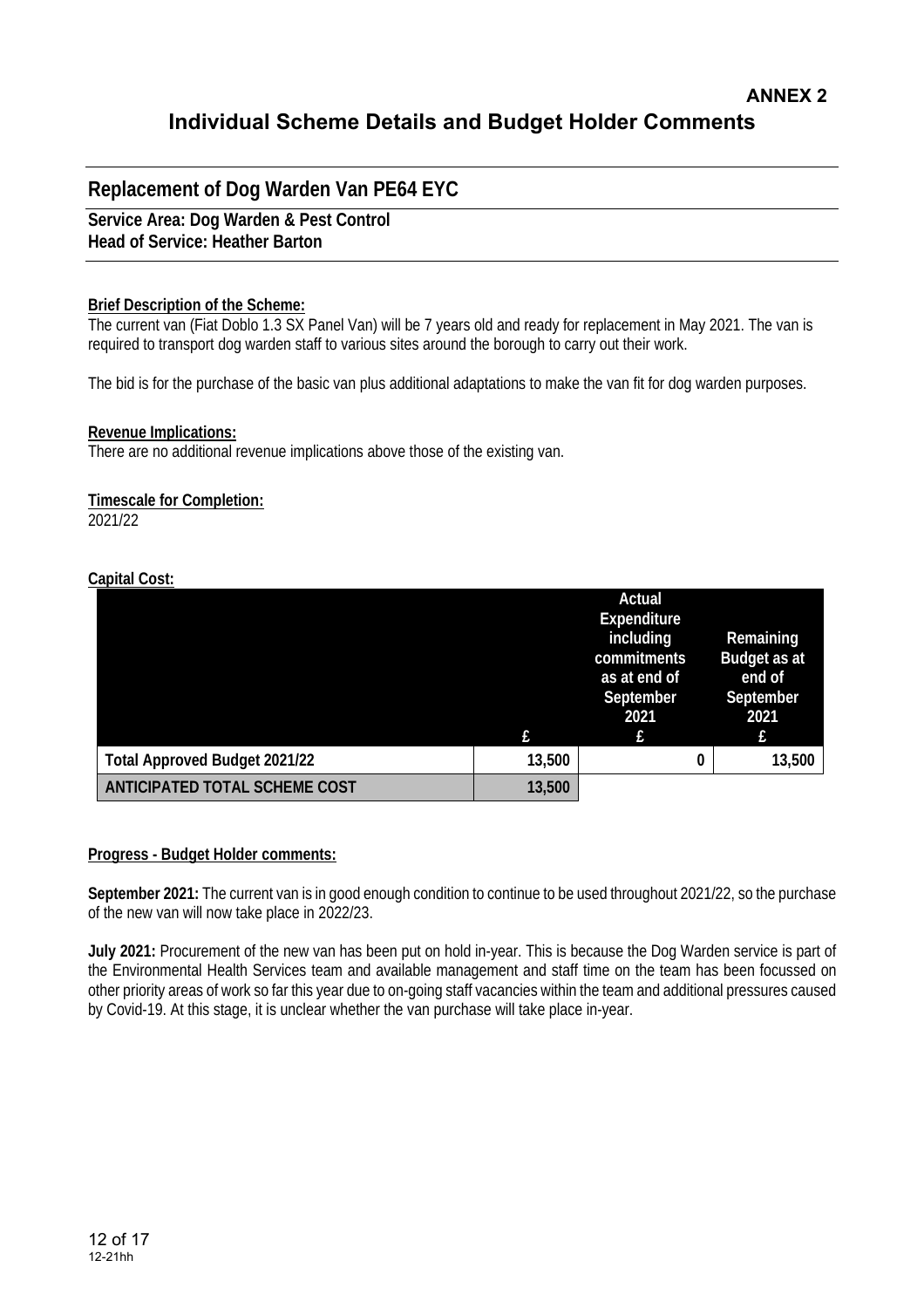# **Replacement of Dog Warden Van PE64 EYC**

**Service Area: Dog Warden & Pest Control Head of Service: Heather Barton** 

#### **Brief Description of the Scheme:**

The current van (Fiat Doblo 1.3 SX Panel Van) will be 7 years old and ready for replacement in May 2021. The van is required to transport dog warden staff to various sites around the borough to carry out their work.

The bid is for the purchase of the basic van plus additional adaptations to make the van fit for dog warden purposes.

#### **Revenue Implications:**

There are no additional revenue implications above those of the existing van.

#### **Timescale for Completion:**

2021/22

#### **Capital Cost:**

|                                      |        | <b>Actual</b><br><b>Expenditure</b><br>including<br>commitments | Remaining<br>Budget as at |
|--------------------------------------|--------|-----------------------------------------------------------------|---------------------------|
|                                      |        | as at end of<br>September                                       | end of<br>September       |
|                                      |        | 2021                                                            | 2021                      |
|                                      | £      | £                                                               | £                         |
| <b>Total Approved Budget 2021/22</b> | 13,500 | 0                                                               | 13,500                    |
| <b>ANTICIPATED TOTAL SCHEME COST</b> | 13,500 |                                                                 |                           |

# **Progress - Budget Holder comments:**

**September 2021:** The current van is in good enough condition to continue to be used throughout 2021/22, so the purchase of the new van will now take place in 2022/23.

**July 2021:** Procurement of the new van has been put on hold in-year. This is because the Dog Warden service is part of the Environmental Health Services team and available management and staff time on the team has been focussed on other priority areas of work so far this year due to on-going staff vacancies within the team and additional pressures caused by Covid-19. At this stage, it is unclear whether the van purchase will take place in-year.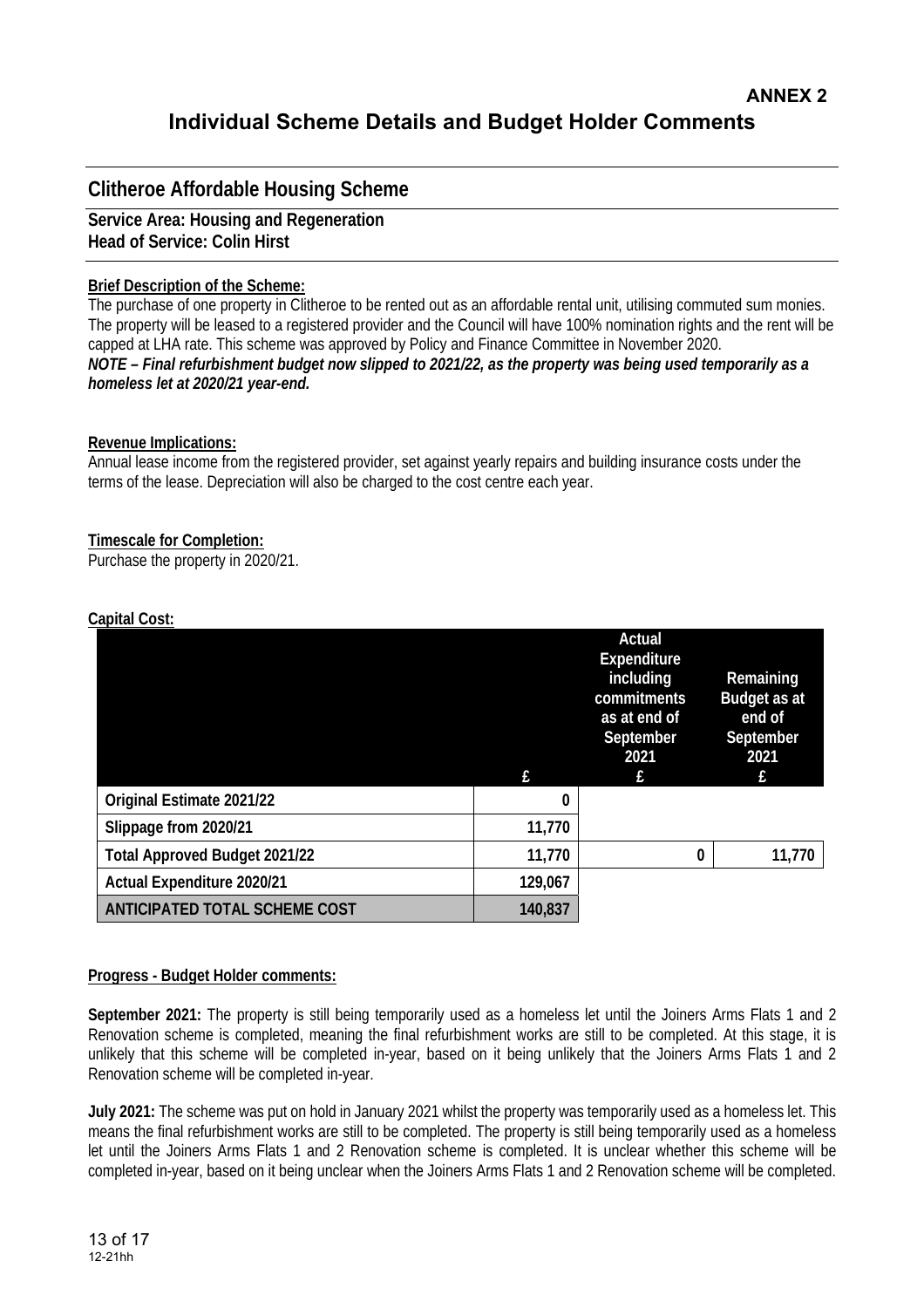# **Clitheroe Affordable Housing Scheme**

**Service Area: Housing and Regeneration Head of Service: Colin Hirst** 

# **Brief Description of the Scheme:**

The purchase of one property in Clitheroe to be rented out as an affordable rental unit, utilising commuted sum monies. The property will be leased to a registered provider and the Council will have 100% nomination rights and the rent will be capped at LHA rate. This scheme was approved by Policy and Finance Committee in November 2020. *NOTE – Final refurbishment budget now slipped to 2021/22, as the property was being used temporarily as a homeless let at 2020/21 year-end.* 

# **Revenue Implications:**

Annual lease income from the registered provider, set against yearly repairs and building insurance costs under the terms of the lease. Depreciation will also be charged to the cost centre each year.

# **Timescale for Completion:**

Purchase the property in 2020/21.

|                                      | f.      | Actual<br><b>Expenditure</b><br>including<br>commitments<br>as at end of<br>September<br>2021<br>f. | Remaining<br>Budget as at<br>end of<br>September<br>2021<br>f. |
|--------------------------------------|---------|-----------------------------------------------------------------------------------------------------|----------------------------------------------------------------|
| Original Estimate 2021/22            | 0       |                                                                                                     |                                                                |
| Slippage from 2020/21                | 11,770  |                                                                                                     |                                                                |
| <b>Total Approved Budget 2021/22</b> | 11,770  | 0                                                                                                   | 11,770                                                         |
| Actual Expenditure 2020/21           | 129,067 |                                                                                                     |                                                                |
| <b>ANTICIPATED TOTAL SCHEME COST</b> | 140,837 |                                                                                                     |                                                                |

# **Capital Cost:**

# **Progress - Budget Holder comments:**

**September 2021:** The property is still being temporarily used as a homeless let until the Joiners Arms Flats 1 and 2 Renovation scheme is completed, meaning the final refurbishment works are still to be completed. At this stage, it is unlikely that this scheme will be completed in-year, based on it being unlikely that the Joiners Arms Flats 1 and 2 Renovation scheme will be completed in-year.

**July 2021:** The scheme was put on hold in January 2021 whilst the property was temporarily used as a homeless let. This means the final refurbishment works are still to be completed. The property is still being temporarily used as a homeless let until the Joiners Arms Flats 1 and 2 Renovation scheme is completed. It is unclear whether this scheme will be completed in-year, based on it being unclear when the Joiners Arms Flats 1 and 2 Renovation scheme will be completed.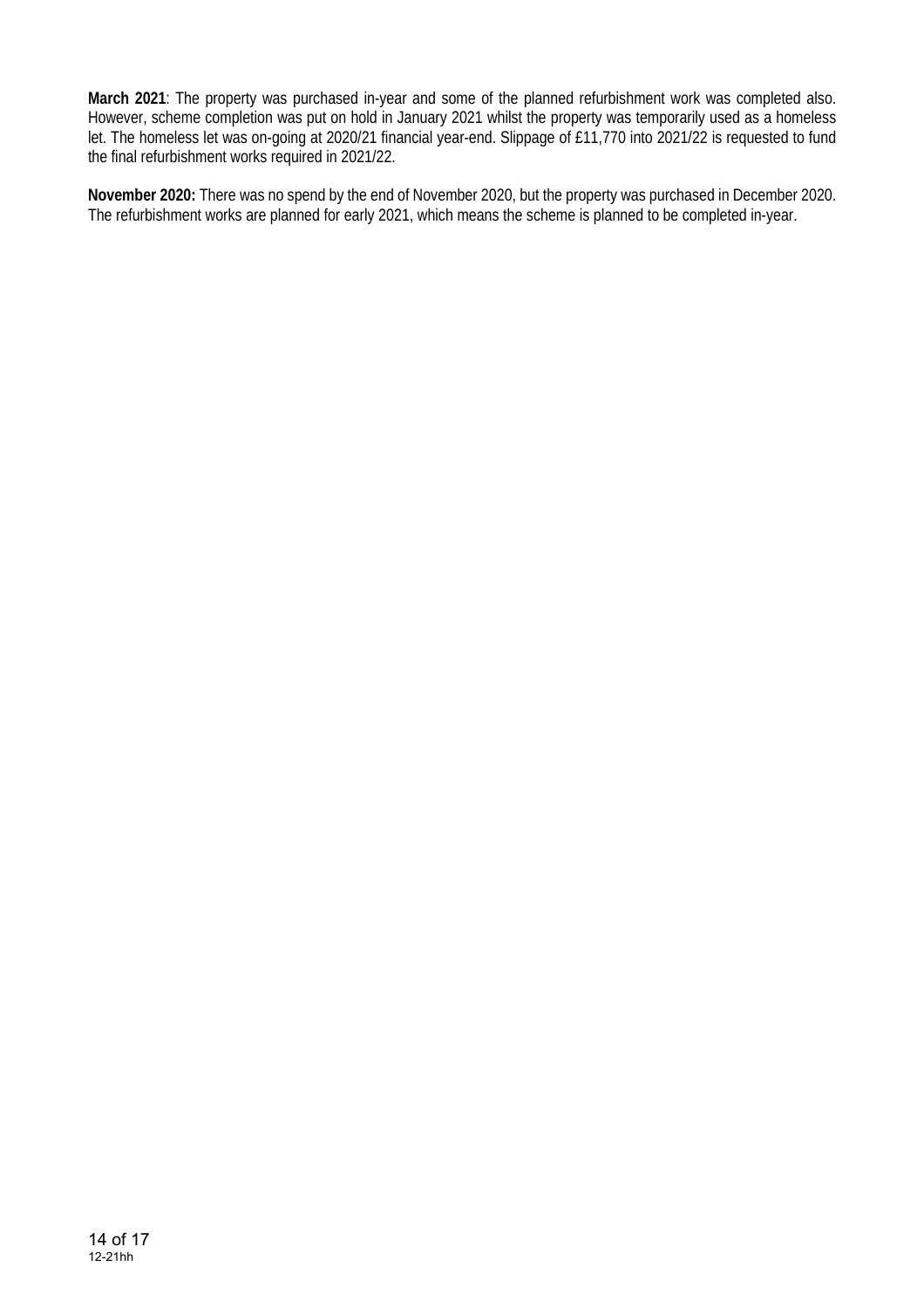**March 2021**: The property was purchased in-year and some of the planned refurbishment work was completed also. However, scheme completion was put on hold in January 2021 whilst the property was temporarily used as a homeless let. The homeless let was on-going at 2020/21 financial year-end. Slippage of £11,770 into 2021/22 is requested to fund the final refurbishment works required in 2021/22.

**November 2020:** There was no spend by the end of November 2020, but the property was purchased in December 2020. The refurbishment works are planned for early 2021, which means the scheme is planned to be completed in-year.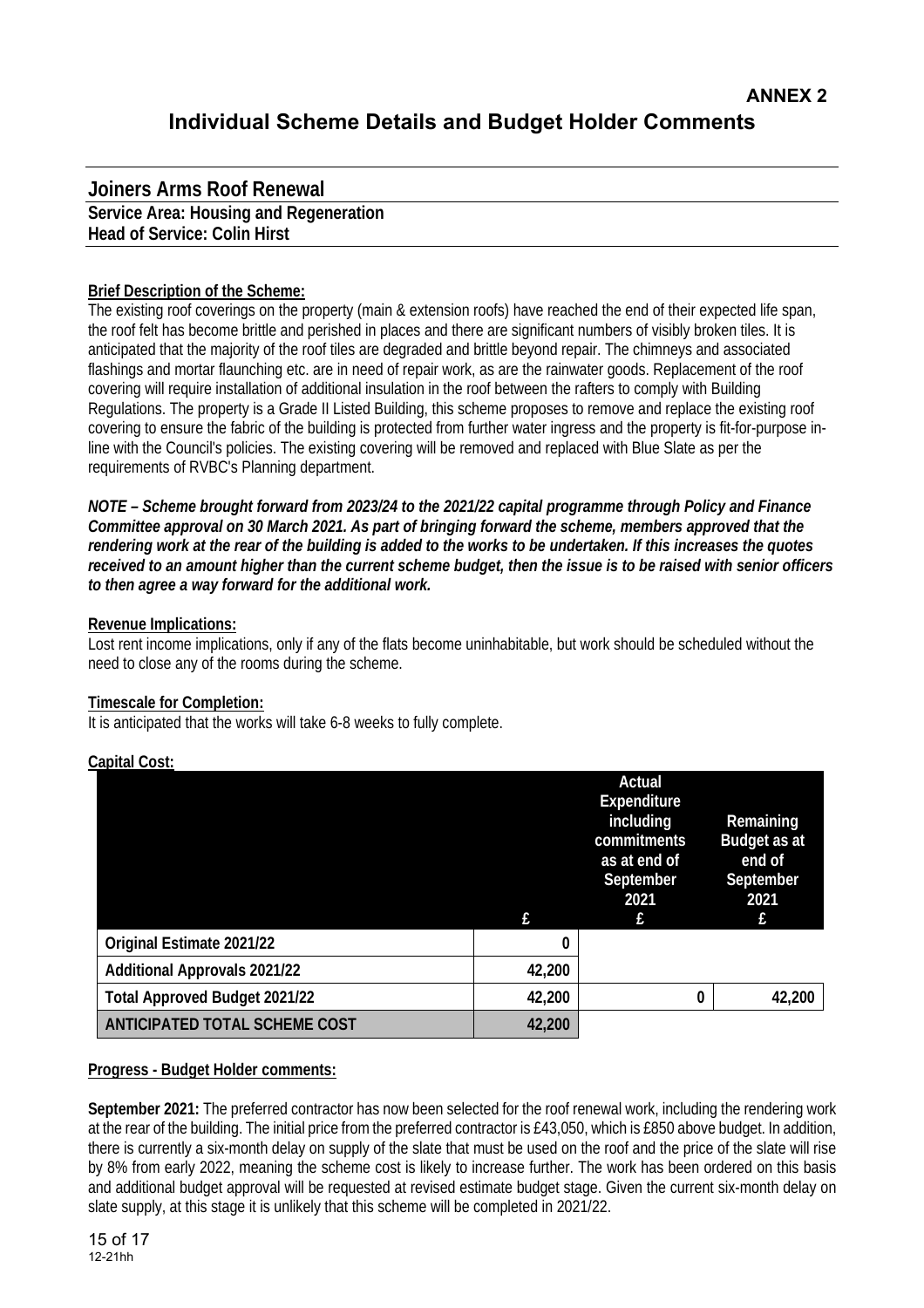# **Joiners Arms Roof Renewal Service Area: Housing and Regeneration Head of Service: Colin Hirst**

# **Brief Description of the Scheme:**

The existing roof coverings on the property (main & extension roofs) have reached the end of their expected life span, the roof felt has become brittle and perished in places and there are significant numbers of visibly broken tiles. It is anticipated that the majority of the roof tiles are degraded and brittle beyond repair. The chimneys and associated flashings and mortar flaunching etc. are in need of repair work, as are the rainwater goods. Replacement of the roof covering will require installation of additional insulation in the roof between the rafters to comply with Building Regulations. The property is a Grade II Listed Building, this scheme proposes to remove and replace the existing roof covering to ensure the fabric of the building is protected from further water ingress and the property is fit-for-purpose inline with the Council's policies. The existing covering will be removed and replaced with Blue Slate as per the requirements of RVBC's Planning department.

*NOTE – Scheme brought forward from 2023/24 to the 2021/22 capital programme through Policy and Finance Committee approval on 30 March 2021. As part of bringing forward the scheme, members approved that the rendering work at the rear of the building is added to the works to be undertaken. If this increases the quotes received to an amount higher than the current scheme budget, then the issue is to be raised with senior officers to then agree a way forward for the additional work.* 

#### **Revenue Implications:**

Lost rent income implications, only if any of the flats become uninhabitable, but work should be scheduled without the need to close any of the rooms during the scheme.

# **Timescale for Completion:**

It is anticipated that the works will take 6-8 weeks to fully complete.

#### **Capital Cost:**

|                                      |        | Actual<br>Expenditure<br>including<br>commitments<br>as at end of<br>September<br>2021 | Remaining<br>Budget as at<br>end of<br>September<br>2021 |
|--------------------------------------|--------|----------------------------------------------------------------------------------------|----------------------------------------------------------|
|                                      |        |                                                                                        | f                                                        |
| Original Estimate 2021/22            | 0      |                                                                                        |                                                          |
| <b>Additional Approvals 2021/22</b>  | 42,200 |                                                                                        |                                                          |
| <b>Total Approved Budget 2021/22</b> | 42,200 | 0                                                                                      | 42,200                                                   |
| <b>ANTICIPATED TOTAL SCHEME COST</b> | 42,200 |                                                                                        |                                                          |

# **Progress - Budget Holder comments:**

**September 2021:** The preferred contractor has now been selected for the roof renewal work, including the rendering work at the rear of the building. The initial price from the preferred contractor is £43,050, which is £850 above budget. In addition, there is currently a six-month delay on supply of the slate that must be used on the roof and the price of the slate will rise by 8% from early 2022, meaning the scheme cost is likely to increase further. The work has been ordered on this basis and additional budget approval will be requested at revised estimate budget stage. Given the current six-month delay on slate supply, at this stage it is unlikely that this scheme will be completed in 2021/22.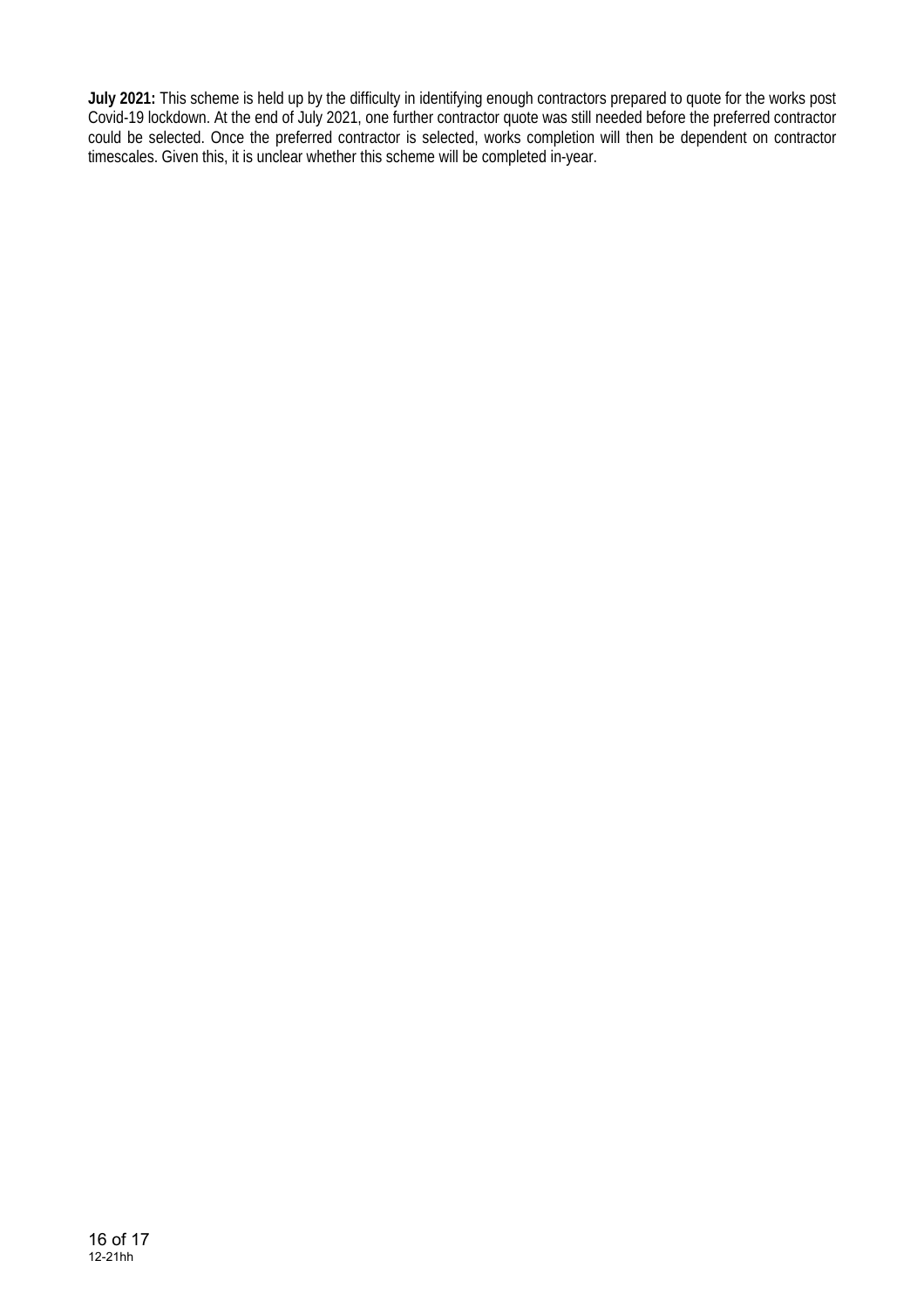**July 2021:** This scheme is held up by the difficulty in identifying enough contractors prepared to quote for the works post Covid-19 lockdown. At the end of July 2021, one further contractor quote was still needed before the preferred contractor could be selected. Once the preferred contractor is selected, works completion will then be dependent on contractor timescales. Given this, it is unclear whether this scheme will be completed in-year.